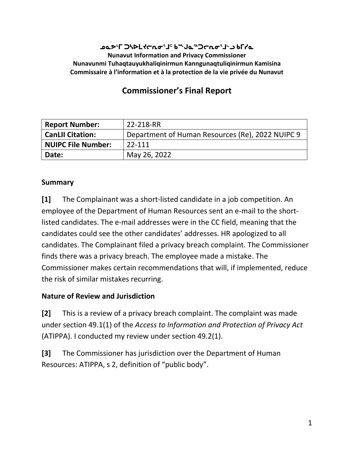#### **ᓄᓇᕗᒻᒥ ᑐᓴᐅᒪᔪᓕᕆᓂᕐᒧᑦ ᑲᖖᒍᓇᖅᑐᓕᕆᓂᕐᒧᓪᓗ ᑲᒥᓯᓇ Nunavut Information and Privacy Commissioner Nunavunmi Tuhaqtauyukhaliqinirmun Kanngunaqtuliqinirmun Kamisina Commissaire à l'information et à la protection de la vie privée du Nunavut**

# **Commissioner's Final Report**

| <b>Report Number:</b>     | 22-218-RR                                        |
|---------------------------|--------------------------------------------------|
| <b>CanLII Citation:</b>   | Department of Human Resources (Re), 2022 NUIPC 9 |
| <b>NUIPC File Number:</b> | 22-111                                           |
| Date:                     | May 26, 2022                                     |

#### **Summary**

**[1]** The Complainant was a short-listed candidate in a job competition. An employee of the Department of Human Resources sent an e-mail to the shortlisted candidates. The e-mail addresses were in the CC field, meaning that the candidates could see the other candidates' addresses. HR apologized to all candidates. The Complainant filed a privacy breach complaint. The Commissioner finds there was a privacy breach. The employee made a mistake. The Commissioner makes certain recommendations that will, if implemented, reduce the risk of similar mistakes recurring.

#### **Nature of Review and Jurisdiction**

**[2]** This is a review of a privacy breach complaint. The complaint was made under section 49.1(1) of the *Access to Information and Protection of Privacy Act* (ATIPPA). I conducted my review under section 49.2(1).

**[3]** The Commissioner has jurisdiction over the Department of Human Resources: ATIPPA, s 2, definition of "public body".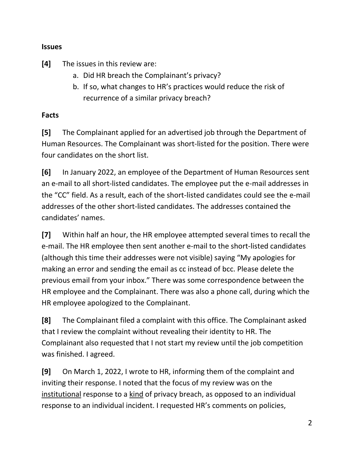#### **Issues**

**[4]** The issues in this review are:

- a. Did HR breach the Complainant's privacy?
- b. If so, what changes to HR's practices would reduce the risk of recurrence of a similar privacy breach?

#### **Facts**

**[5]** The Complainant applied for an advertised job through the Department of Human Resources. The Complainant was short-listed for the position. There were four candidates on the short list.

**[6]** In January 2022, an employee of the Department of Human Resources sent an e-mail to all short-listed candidates. The employee put the e-mail addresses in the "CC" field. As a result, each of the short-listed candidates could see the e-mail addresses of the other short-listed candidates. The addresses contained the candidates' names.

**[7]** Within half an hour, the HR employee attempted several times to recall the e-mail. The HR employee then sent another e-mail to the short-listed candidates (although this time their addresses were not visible) saying "My apologies for making an error and sending the email as cc instead of bcc. Please delete the previous email from your inbox." There was some correspondence between the HR employee and the Complainant. There was also a phone call, during which the HR employee apologized to the Complainant.

**[8]** The Complainant filed a complaint with this office. The Complainant asked that I review the complaint without revealing their identity to HR. The Complainant also requested that I not start my review until the job competition was finished. I agreed.

**[9]** On March 1, 2022, I wrote to HR, informing them of the complaint and inviting their response. I noted that the focus of my review was on the institutional response to a kind of privacy breach, as opposed to an individual response to an individual incident. I requested HR's comments on policies,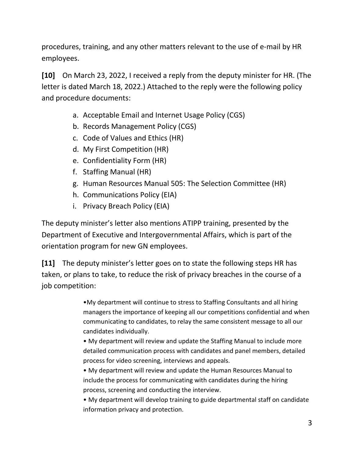procedures, training, and any other matters relevant to the use of e-mail by HR employees.

**[10]** On March 23, 2022, I received a reply from the deputy minister for HR. (The letter is dated March 18, 2022.) Attached to the reply were the following policy and procedure documents:

- a. Acceptable Email and Internet Usage Policy (CGS)
- b. Records Management Policy (CGS)
- c. Code of Values and Ethics (HR)
- d. My First Competition (HR)
- e. Confidentiality Form (HR)
- f. Staffing Manual (HR)
- g. Human Resources Manual 505: The Selection Committee (HR)
- h. Communications Policy (EIA)
- i. Privacy Breach Policy (EIA)

The deputy minister's letter also mentions ATIPP training, presented by the Department of Executive and Intergovernmental Affairs, which is part of the orientation program for new GN employees.

**[11]** The deputy minister's letter goes on to state the following steps HR has taken, or plans to take, to reduce the risk of privacy breaches in the course of a job competition:

> •My department will continue to stress to Staffing Consultants and all hiring managers the importance of keeping all our competitions confidential and when communicating to candidates, to relay the same consistent message to all our candidates individually.

• My department will review and update the Staffing Manual to include more detailed communication process with candidates and panel members, detailed process for video screening, interviews and appeals.

• My department will review and update the Human Resources Manual to include the process for communicating with candidates during the hiring process, screening and conducting the interview.

• My department will develop training to guide departmental staff on candidate information privacy and protection.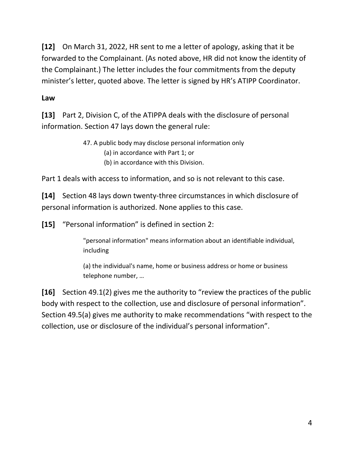**[12]** On March 31, 2022, HR sent to me a letter of apology, asking that it be forwarded to the Complainant. (As noted above, HR did not know the identity of the Complainant.) The letter includes the four commitments from the deputy minister's letter, quoted above. The letter is signed by HR's ATIPP Coordinator.

## **Law**

**[13]** Part 2, Division C, of the ATIPPA deals with the disclosure of personal information. Section 47 lays down the general rule:

> 47. A public body may disclose personal information only (a) in accordance with Part 1; or (b) in accordance with this Division.

Part 1 deals with access to information, and so is not relevant to this case.

**[14]** Section 48 lays down twenty-three circumstances in which disclosure of personal information is authorized. None applies to this case.

**[15]** "Personal information" is defined in section 2:

"personal information" means information about an identifiable individual, including

(a) the individual's name, home or business address or home or business telephone number, …

**[16]** Section 49.1(2) gives me the authority to "review the practices of the public body with respect to the collection, use and disclosure of personal information". Section 49.5(a) gives me authority to make recommendations "with respect to the collection, use or disclosure of the individual's personal information".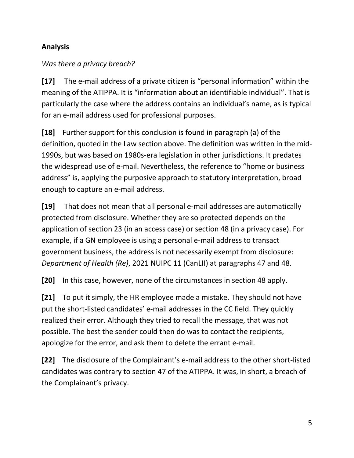## **Analysis**

#### *Was there a privacy breach?*

**[17]** The e-mail address of a private citizen is "personal information" within the meaning of the ATIPPA. It is "information about an identifiable individual". That is particularly the case where the address contains an individual's name, as is typical for an e-mail address used for professional purposes.

**[18]** Further support for this conclusion is found in paragraph (a) of the definition, quoted in the Law section above. The definition was written in the mid-1990s, but was based on 1980s-era legislation in other jurisdictions. It predates the widespread use of e-mail. Nevertheless, the reference to "home or business address" is, applying the purposive approach to statutory interpretation, broad enough to capture an e-mail address.

**[19]** That does not mean that all personal e-mail addresses are automatically protected from disclosure. Whether they are so protected depends on the application of section 23 (in an access case) or section 48 (in a privacy case). For example, if a GN employee is using a personal e-mail address to transact government business, the address is not necessarily exempt from disclosure: *Department of Health (Re)*, 2021 NUIPC 11 (CanLII) at paragraphs 47 and 48.

**[20]** In this case, however, none of the circumstances in section 48 apply.

**[21]** To put it simply, the HR employee made a mistake. They should not have put the short-listed candidates' e-mail addresses in the CC field. They quickly realized their error. Although they tried to recall the message, that was not possible. The best the sender could then do was to contact the recipients, apologize for the error, and ask them to delete the errant e-mail.

**[22]** The disclosure of the Complainant's e-mail address to the other short-listed candidates was contrary to section 47 of the ATIPPA. It was, in short, a breach of the Complainant's privacy.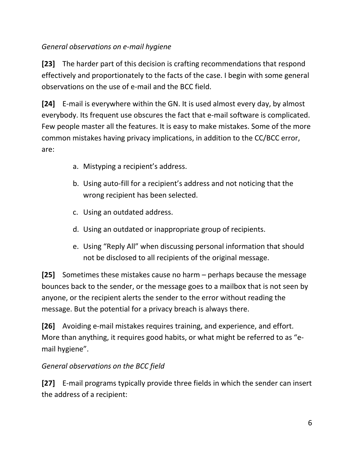# *General observations on e-mail hygiene*

**[23]** The harder part of this decision is crafting recommendations that respond effectively and proportionately to the facts of the case. I begin with some general observations on the use of e-mail and the BCC field.

**[24]** E-mail is everywhere within the GN. It is used almost every day, by almost everybody. Its frequent use obscures the fact that e-mail software is complicated. Few people master all the features. It is easy to make mistakes. Some of the more common mistakes having privacy implications, in addition to the CC/BCC error, are:

- a. Mistyping a recipient's address.
- b. Using auto-fill for a recipient's address and not noticing that the wrong recipient has been selected.
- c. Using an outdated address.
- d. Using an outdated or inappropriate group of recipients.
- e. Using "Reply All" when discussing personal information that should not be disclosed to all recipients of the original message.

**[25]** Sometimes these mistakes cause no harm – perhaps because the message bounces back to the sender, or the message goes to a mailbox that is not seen by anyone, or the recipient alerts the sender to the error without reading the message. But the potential for a privacy breach is always there.

**[26]** Avoiding e-mail mistakes requires training, and experience, and effort. More than anything, it requires good habits, or what might be referred to as "email hygiene".

## *General observations on the BCC field*

**[27]** E-mail programs typically provide three fields in which the sender can insert the address of a recipient: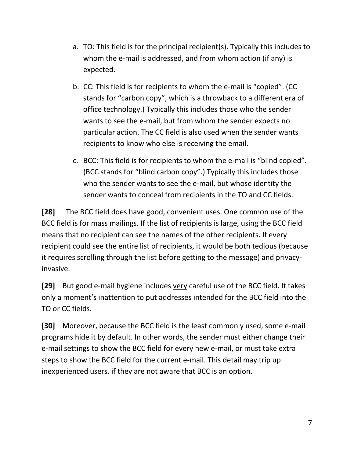- a. TO: This field is for the principal recipient(s). Typically this includes to whom the e-mail is addressed, and from whom action (if any) is expected.
- b. CC: This field is for recipients to whom the e-mail is "copied". (CC stands for "carbon copy", which is a throwback to a different era of office technology.) Typically this includes those who the sender wants to see the e-mail, but from whom the sender expects no particular action. The CC field is also used when the sender wants recipients to know who else is receiving the email.
- c. BCC: This field is for recipients to whom the e-mail is "blind copied". (BCC stands for "blind carbon copy".) Typically this includes those who the sender wants to see the e-mail, but whose identity the sender wants to conceal from recipients in the TO and CC fields.

**[28]** The BCC field does have good, convenient uses. One common use of the BCC field is for mass mailings. If the list of recipients is large, using the BCC field means that no recipient can see the names of the other recipients. If every recipient could see the entire list of recipients, it would be both tedious (because it requires scrolling through the list before getting to the message) and privacyinvasive.

**[29]** But good e-mail hygiene includes very careful use of the BCC field. It takes only a moment's inattention to put addresses intended for the BCC field into the TO or CC fields.

**[30]** Moreover, because the BCC field is the least commonly used, some e-mail programs hide it by default. In other words, the sender must either change their e-mail settings to show the BCC field for every new e-mail, or must take extra steps to show the BCC field for the current e-mail. This detail may trip up inexperienced users, if they are not aware that BCC is an option.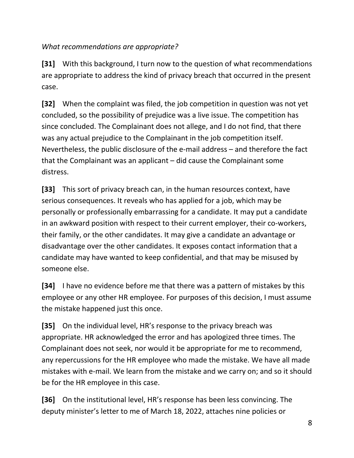*What recommendations are appropriate?*

**[31]** With this background, I turn now to the question of what recommendations are appropriate to address the kind of privacy breach that occurred in the present case.

**[32]** When the complaint was filed, the job competition in question was not yet concluded, so the possibility of prejudice was a live issue. The competition has since concluded. The Complainant does not allege, and I do not find, that there was any actual prejudice to the Complainant in the job competition itself. Nevertheless, the public disclosure of the e-mail address – and therefore the fact that the Complainant was an applicant – did cause the Complainant some distress.

**[33]** This sort of privacy breach can, in the human resources context, have serious consequences. It reveals who has applied for a job, which may be personally or professionally embarrassing for a candidate. It may put a candidate in an awkward position with respect to their current employer, their co-workers, their family, or the other candidates. It may give a candidate an advantage or disadvantage over the other candidates. It exposes contact information that a candidate may have wanted to keep confidential, and that may be misused by someone else.

**[34]** I have no evidence before me that there was a pattern of mistakes by this employee or any other HR employee. For purposes of this decision, I must assume the mistake happened just this once.

**[35]** On the individual level, HR's response to the privacy breach was appropriate. HR acknowledged the error and has apologized three times. The Complainant does not seek, nor would it be appropriate for me to recommend, any repercussions for the HR employee who made the mistake. We have all made mistakes with e-mail. We learn from the mistake and we carry on; and so it should be for the HR employee in this case.

**[36]** On the institutional level, HR's response has been less convincing. The deputy minister's letter to me of March 18, 2022, attaches nine policies or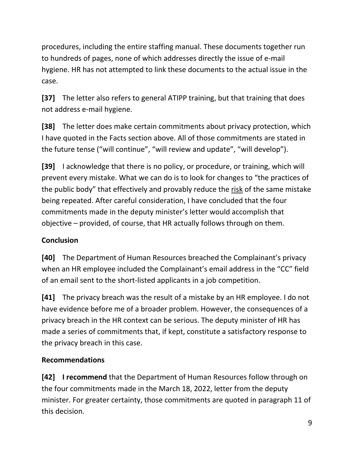procedures, including the entire staffing manual. These documents together run to hundreds of pages, none of which addresses directly the issue of e-mail hygiene. HR has not attempted to link these documents to the actual issue in the case.

**[37]** The letter also refers to general ATIPP training, but that training that does not address e-mail hygiene.

**[38]** The letter does make certain commitments about privacy protection, which I have quoted in the Facts section above. All of those commitments are stated in the future tense ("will continue", "will review and update", "will develop").

**[39]** I acknowledge that there is no policy, or procedure, or training, which will prevent every mistake. What we can do is to look for changes to "the practices of the public body" that effectively and provably reduce the risk of the same mistake being repeated. After careful consideration, I have concluded that the four commitments made in the deputy minister's letter would accomplish that objective – provided, of course, that HR actually follows through on them.

## **Conclusion**

**[40]** The Department of Human Resources breached the Complainant's privacy when an HR employee included the Complainant's email address in the "CC" field of an email sent to the short-listed applicants in a job competition.

**[41]** The privacy breach was the result of a mistake by an HR employee. I do not have evidence before me of a broader problem. However, the consequences of a privacy breach in the HR context can be serious. The deputy minister of HR has made a series of commitments that, if kept, constitute a satisfactory response to the privacy breach in this case.

## **Recommendations**

**[42] I recommend** that the Department of Human Resources follow through on the four commitments made in the March 18, 2022, letter from the deputy minister. For greater certainty, those commitments are quoted in paragraph 11 of this decision.